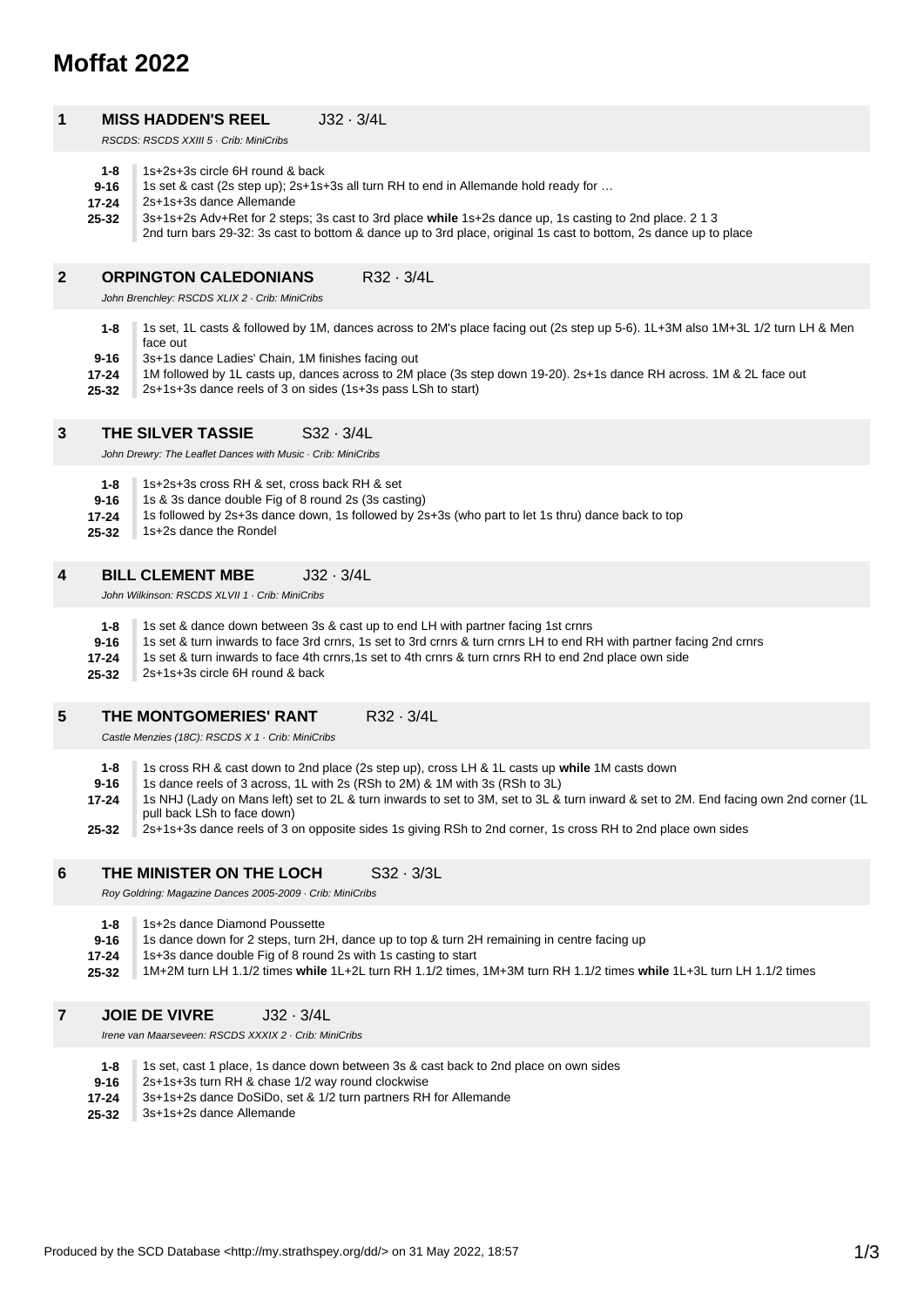# **Moffat 2022**

### **1 MISS HADDEN'S REEL** J32 · 3/4L

RSCDS: RSCDS XXIII 5 · Crib: MiniCribs

| $1 - 8$ | 1s+2s+3s circle 6H round & back |
|---------|---------------------------------|
|         |                                 |

**9-16** 1s set & cast (2s step up); 2s+1s+3s all turn RH to end in Allemande hold ready for …

**17-24** 2s+1s+3s dance Allemande

**25-32** 3s+1s+2s Adv+Ret for 2 steps; 3s cast to 3rd place **while** 1s+2s dance up, 1s casting to 2nd place. 2 1 3

2nd turn bars 29-32: 3s cast to bottom & dance up to 3rd place, original 1s cast to bottom, 2s dance up to place

### **2 ORPINGTON CALEDONIANS** R32 · 3/4L

John Brenchley: RSCDS XLIX 2 · Crib: MiniCribs

- **9-16 1-8** 1s set, 1L casts & followed by 1M, dances across to 2M's place facing out (2s step up 5-6). 1L+3M also 1M+3L 1/2 turn LH & Men face out 3s+1s dance Ladies' Chain, 1M finishes facing out
- **17-24** 1M followed by 1L casts up, dances across to 2M place (3s step down 19-20). 2s+1s dance RH across. 1M & 2L face out
- **25-32** 2s+1s+3s dance reels of 3 on sides (1s+3s pass LSh to start)

### **3 THE SILVER TASSIE** S32 · 3/4L

John Drewry: The Leaflet Dances with Music · Crib: MiniCribs

- **1-8** 1s+2s+3s cross RH & set, cross back RH & set
- **9-16** 1s & 3s dance double Fig of 8 round 2s (3s casting)
- **17-24** 1s followed by 2s+3s dance down, 1s followed by 2s+3s (who part to let 1s thru) dance back to top
- **25-32** 1s+2s dance the Rondel

### **4 BILL CLEMENT MBE** J32 · 3/4L

John Wilkinson: RSCDS XLVII 1 · Crib: MiniCribs

**25-32 17-24 9-16 1-8** 1s set & dance down between 3s & cast up to end LH with partner facing 1st crnrs 1s set & turn inwards to face 3rd crnrs, 1s set to 3rd crnrs & turn crnrs LH to end RH with partner facing 2nd crnrs 1s set & turn inwards to face 4th crnrs,1s set to 4th crnrs & turn crnrs RH to end 2nd place own side 2s+1s+3s circle 6H round & back

### **5 THE MONTGOMERIES' RANT R32 · 3/4L**

Castle Menzies (18C): RSCDS X 1 · Crib: MiniCribs

- **1-8** 1s cross RH & cast down to 2nd place (2s step up), cross LH & 1L casts up **while** 1M casts down
- **9-16** 1s dance reels of 3 across, 1L with 2s (RSh to 2M) & 1M with 3s (RSh to 3L)
- **17-24** 1s NHJ (Lady on Mans left) set to 2L & turn inwards to set to 3M, set to 3L & turn inward & set to 2M. End facing own 2nd corner (1L pull back LSh to face down)
- **25-32** 2s+1s+3s dance reels of 3 on opposite sides 1s giving RSh to 2nd corner, 1s cross RH to 2nd place own sides

### **6 THE MINISTER ON THE LOCH S32 · 3/3L**

Roy Goldring: Magazine Dances 2005-2009 · Crib: MiniCribs

- **1-8** 1s+2s dance Diamond Poussette
- **9-16** 1s dance down for 2 steps, turn 2H, dance up to top & turn 2H remaining in centre facing up
- **17-24** 1s+3s dance double Fig of 8 round 2s with 1s casting to start
- **25-32** 1M+2M turn LH 1.1/2 times **while** 1L+2L turn RH 1.1/2 times, 1M+3M turn RH 1.1/2 times **while** 1L+3L turn LH 1.1/2 times
- **7 JOIE DE VIVRE** J32 · 3/4L

Irene van Maarseveen: RSCDS XXXIX 2 · Crib: MiniCribs

- **1-8** 1s set, cast 1 place, 1s dance down between 3s & cast back to 2nd place on own sides
- **9-16** 2s+1s+3s turn RH & chase 1/2 way round clockwise
- **17-24** 3s+1s+2s dance DoSiDo, set & 1/2 turn partners RH for Allemande
- **25-32** 3s+1s+2s dance Allemande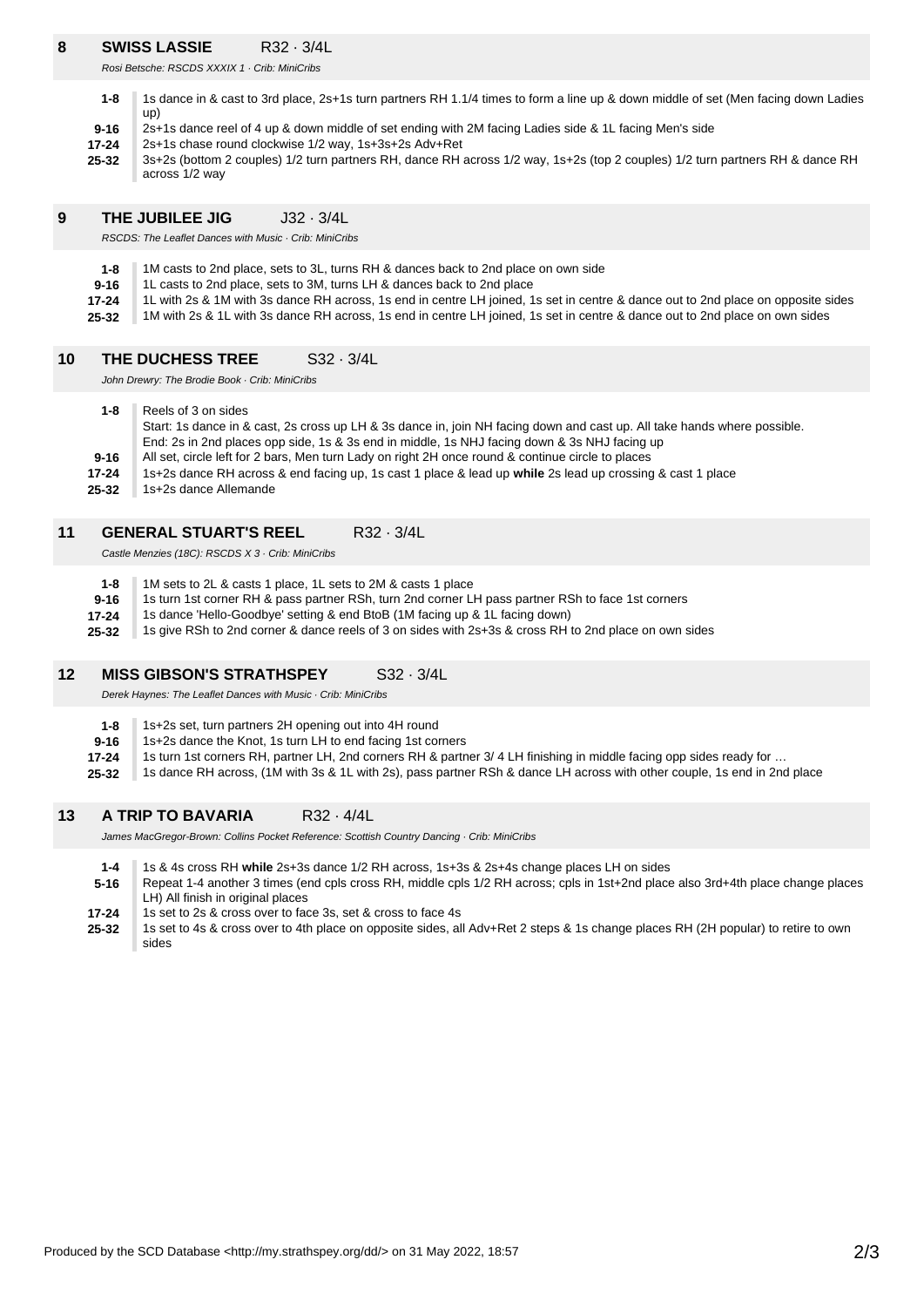# **8 SWISS LASSIE** R32 · 3/4L

Rosi Betsche: RSCDS XXXIX 1 · Crib: MiniCribs

- **1-8** 1s dance in & cast to 3rd place, 2s+1s turn partners RH 1.1/4 times to form a line up & down middle of set (Men facing down Ladies up)
- **9-16** 2s+1s dance reel of 4 up & down middle of set ending with 2M facing Ladies side & 1L facing Men's side
- **17-24** 2s+1s chase round clockwise 1/2 way, 1s+3s+2s Adv+Ret
- **25-32** 3s+2s (bottom 2 couples) 1/2 turn partners RH, dance RH across 1/2 way, 1s+2s (top 2 couples) 1/2 turn partners RH & dance RH across 1/2 way

### **9 THE JUBILEE JIG** J32 · 3/4L

RSCDS: The Leaflet Dances with Music · Crib: MiniCribs

- **1-8** 1M casts to 2nd place, sets to 3L, turns RH & dances back to 2nd place on own side
- **9-16** 1L casts to 2nd place, sets to 3M, turns LH & dances back to 2nd place
- **17-24** 1L with 2s & 1M with 3s dance RH across, 1s end in centre LH joined, 1s set in centre & dance out to 2nd place on opposite sides
- **25-32** 1M with 2s & 1L with 3s dance RH across, 1s end in centre LH joined, 1s set in centre & dance out to 2nd place on own sides

#### **10 THE DUCHESS TREE** S32 · 3/4L

John Drewry: The Brodie Book · Crib: MiniCribs

- **25-32 17-24 9-16 1-8** Reels of 3 on sides Start: 1s dance in & cast, 2s cross up LH & 3s dance in, join NH facing down and cast up. All take hands where possible. End: 2s in 2nd places opp side, 1s & 3s end in middle, 1s NHJ facing down & 3s NHJ facing up All set, circle left for 2 bars, Men turn Lady on right 2H once round & continue circle to places 1s+2s dance RH across & end facing up, 1s cast 1 place & lead up **while** 2s lead up crossing & cast 1 place 1s+2s dance Allemande
- 

## **11 GENERAL STUART'S REEL** R32 · 3/4L

Castle Menzies (18C): RSCDS X 3 · Crib: MiniCribs

**25-32 17-24 9-16 1-8** 1M sets to 2L & casts 1 place, 1L sets to 2M & casts 1 place 1s turn 1st corner RH & pass partner RSh, turn 2nd corner LH pass partner RSh to face 1st corners 1s dance 'Hello-Goodbye' setting & end BtoB (1M facing up & 1L facing down) 1s give RSh to 2nd corner & dance reels of 3 on sides with 2s+3s & cross RH to 2nd place on own sides

#### **12 MISS GIBSON'S STRATHSPEY** S32 · 3/4L

Derek Haynes: The Leaflet Dances with Music · Crib: MiniCribs

- **1-8** 1s+2s set, turn partners 2H opening out into 4H round
- **9-16** 1s+2s dance the Knot, 1s turn LH to end facing 1st corners
- **17-24** 1s turn 1st corners RH, partner LH, 2nd corners RH & partner 3/ 4 LH finishing in middle facing opp sides ready for …
- **25-32** 1s dance RH across, (1M with 3s & 1L with 2s), pass partner RSh & dance LH across with other couple, 1s end in 2nd place

### **13 A TRIP TO BAVARIA** R32 · 4/4L

James MacGregor-Brown: Collins Pocket Reference: Scottish Country Dancing · Crib: MiniCribs

- **1-4** 1s & 4s cross RH **while** 2s+3s dance 1/2 RH across, 1s+3s & 2s+4s change places LH on sides
- **5-16** Repeat 1-4 another 3 times (end cpls cross RH, middle cpls 1/2 RH across; cpls in 1st+2nd place also 3rd+4th place change places LH) All finish in original places
- **17-24** 1s set to 2s & cross over to face 3s, set & cross to face 4s
- **25-32** 1s set to 4s & cross over to 4th place on opposite sides, all Adv+Ret 2 steps & 1s change places RH (2H popular) to retire to own sides